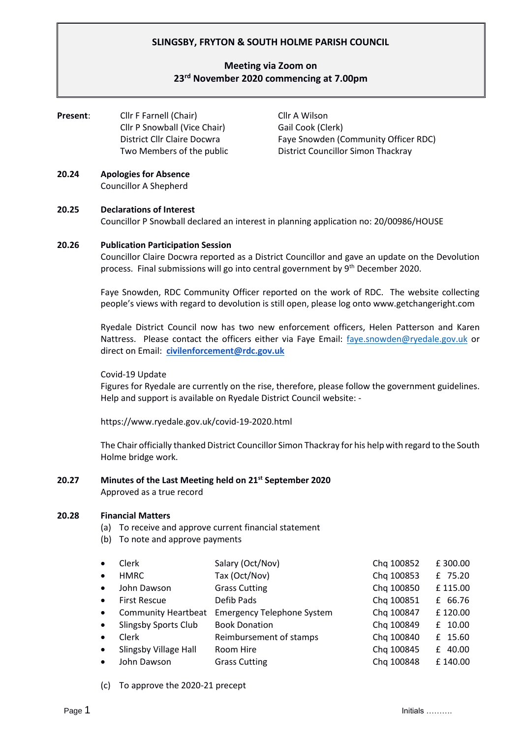# **SLINGSBY, FRYTON & SOUTH HOLME PARISH COUNCIL**

# **Meeting via Zoom on 23 rd November 2020 commencing at 7.00pm**

| Present: | Cllr F Farnell (Chair)       | Cllr A Wilson                             |  |
|----------|------------------------------|-------------------------------------------|--|
|          | Cllr P Snowball (Vice Chair) | Gail Cook (Clerk)                         |  |
|          | District Cllr Claire Docwra  | Faye Snowden (Community Officer RDC)      |  |
|          | Two Members of the public    | <b>District Councillor Simon Thackray</b> |  |
|          |                              |                                           |  |

#### **20.24 Apologies for Absence** Councillor A Shepherd

### **20.25 Declarations of Interest**

Councillor P Snowball declared an interest in planning application no: 20/00986/HOUSE

#### **20.26 Publication Participation Session**

Councillor Claire Docwra reported as a District Councillor and gave an update on the Devolution process. Final submissions will go into central government by 9<sup>th</sup> December 2020.

Faye Snowden, RDC Community Officer reported on the work of RDC. The website collecting people's views with regard to devolution is still open, please log onto www.getchangeright.com

Ryedale District Council now has two new enforcement officers, Helen Patterson and Karen Nattress. Please contact the officers either via Faye Email: [faye.snowden@ryedale.gov.uk](mailto:faye.snowden@ryedale.gov.uk) or direct on Email: **[civilenforcement@rdc.gov.uk](mailto:civilenforcement@rdc.gov.uk)**

### Covid-19 Update

Figures for Ryedale are currently on the rise, therefore, please follow the government guidelines. Help and support is available on Ryedale District Council website: -

https://www.ryedale.gov.uk/covid-19-2020.html

The Chair officially thanked District Councillor Simon Thackray for his help with regard to the South Holme bridge work.

# **20.27 Minutes of the Last Meeting held on 21 st September 2020**

Approved as a true record

### **20.28 Financial Matters**

- (a) To receive and approve current financial statement
- (b) To note and approve payments

| ٠         | <b>Clerk</b>                | Salary (Oct/Nov)                  | Chq 100852 | £300.00     |
|-----------|-----------------------------|-----------------------------------|------------|-------------|
| $\bullet$ | <b>HMRC</b>                 | Tax (Oct/Nov)                     | Chq 100853 | £ 75.20     |
| $\bullet$ | John Dawson                 | <b>Grass Cutting</b>              | Chq 100850 | £115.00     |
| $\bullet$ | <b>First Rescue</b>         | Defib Pads                        | Chq 100851 | £ 66.76     |
| $\bullet$ | <b>Community Heartbeat</b>  | <b>Emergency Telephone System</b> | Chq 100847 | £120.00     |
| $\bullet$ | <b>Slingsby Sports Club</b> | <b>Book Donation</b>              | Chq 100849 | £ 10.00     |
| $\bullet$ | Clerk                       | Reimbursement of stamps           | Chq 100840 | £ 15.60     |
| $\bullet$ | Slingsby Village Hall       | Room Hire                         | Chq 100845 | 40.00<br>f. |
| ٠         | John Dawson                 | <b>Grass Cutting</b>              | Chq 100848 | £140.00     |
|           |                             |                                   |            |             |

(c) To approve the 2020-21 precept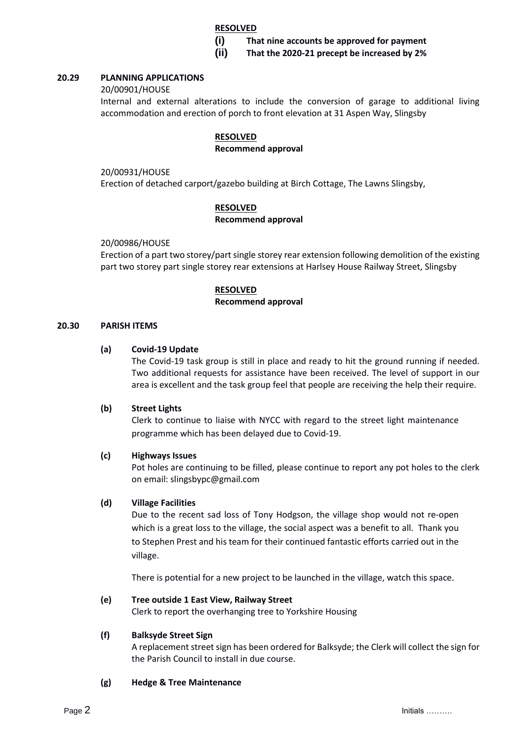### **RESOLVED**

**(i) That nine accounts be approved for payment**

**(ii) That the 2020-21 precept be increased by 2%**

### **20.29 PLANNING APPLICATIONS**

20/00901/HOUSE

Internal and external alterations to include the conversion of garage to additional living accommodation and erection of porch to front elevation at 31 Aspen Way, Slingsby

### **RESOLVED**

### **Recommend approval**

20/00931/HOUSE

Erection of detached carport/gazebo building at Birch Cottage, The Lawns Slingsby,

### **RESOLVED**

#### **Recommend approval**

20/00986/HOUSE

Erection of a part two storey/part single storey rear extension following demolition of the existing part two storey part single storey rear extensions at Harlsey House Railway Street, Slingsby

### **RESOLVED**

#### **Recommend approval**

#### **20.30 PARISH ITEMS**

#### **(a) Covid-19 Update**

The Covid-19 task group is still in place and ready to hit the ground running if needed. Two additional requests for assistance have been received. The level of support in our area is excellent and the task group feel that people are receiving the help their require.

### **(b) Street Lights**

Clerk to continue to liaise with NYCC with regard to the street light maintenance programme which has been delayed due to Covid-19.

#### **(c) Highways Issues**

Pot holes are continuing to be filled, please continue to report any pot holes to the clerk on email: slingsbypc@gmail.com

### **(d) Village Facilities**

Due to the recent sad loss of Tony Hodgson, the village shop would not re-open which is a great loss to the village, the social aspect was a benefit to all. Thank you to Stephen Prest and his team for their continued fantastic efforts carried out in the village.

There is potential for a new project to be launched in the village, watch this space.

### **(e) Tree outside 1 East View, Railway Street**

Clerk to report the overhanging tree to Yorkshire Housing

### **(f) Balksyde Street Sign**

A replacement street sign has been ordered for Balksyde; the Clerk will collect the sign for the Parish Council to install in due course.

### **(g) Hedge & Tree Maintenance**